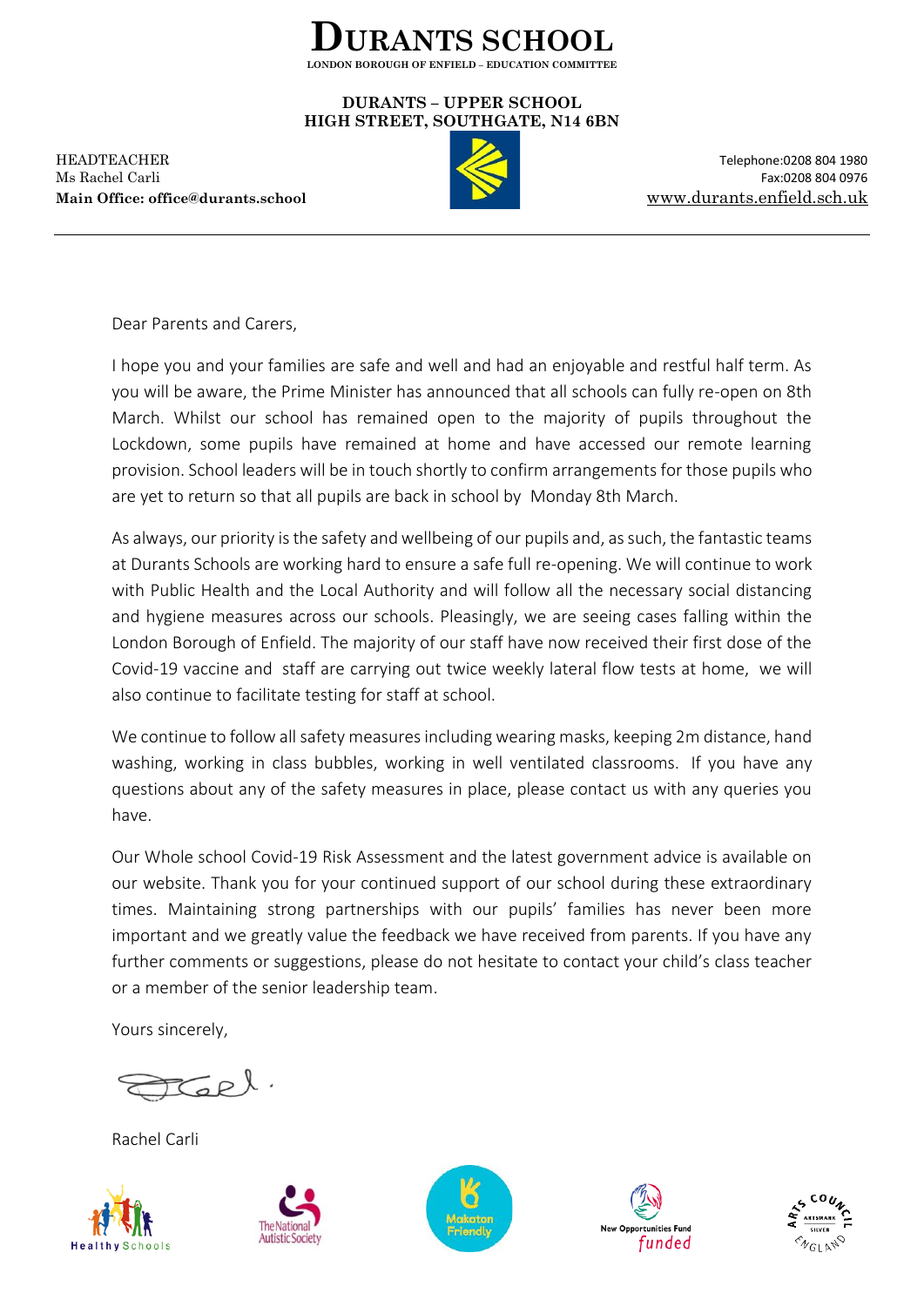

## **DURANTS – UPPER SCHOOL HIGH STREET, SOUTHGATE, N14 6BN**

HEADTEACHER Telephone:0208 804 1980 Ms Rachel Carli Fax:0208 804 0976 **Main Office: office@durants.school** [www.durants.enfield.sch.uk](http://www.durants.enfield.sch.uk/)



Dear Parents and Carers,

I hope you and your families are safe and well and had an enjoyable and restful half term. As you will be aware, the Prime Minister has announced that all schools can fully re-open on 8th March. Whilst our school has remained open to the majority of pupils throughout the Lockdown, some pupils have remained at home and have accessed our remote learning provision. School leaders will be in touch shortly to confirm arrangements for those pupils who are yet to return so that all pupils are back in school by Monday 8th March.

As always, our priority is the safety and wellbeing of our pupils and, as such, the fantastic teams at Durants Schools are working hard to ensure a safe full re-opening. We will continue to work with Public Health and the Local Authority and will follow all the necessary social distancing and hygiene measures across our schools. Pleasingly, we are seeing cases falling within the London Borough of Enfield. The majority of our staff have now received their first dose of the Covid-19 vaccine and staff are carrying out twice weekly lateral flow tests at home, we will also continue to facilitate testing for staff at school.

We continue to follow all safety measures including wearing masks, keeping 2m distance, hand washing, working in class bubbles, working in well ventilated classrooms. If you have any questions about any of the safety measures in place, please contact us with any queries you have.

Our Whole school Covid-19 Risk Assessment and the latest government advice is available on our website. Thank you for your continued support of our school during these extraordinary times. Maintaining strong partnerships with our pupils' families has never been more important and we greatly value the feedback we have received from parents. If you have any further comments or suggestions, please do not hesitate to contact your child's class teacher or a member of the senior leadership team.

Yours sincerely,

Tell.

Rachel Carli